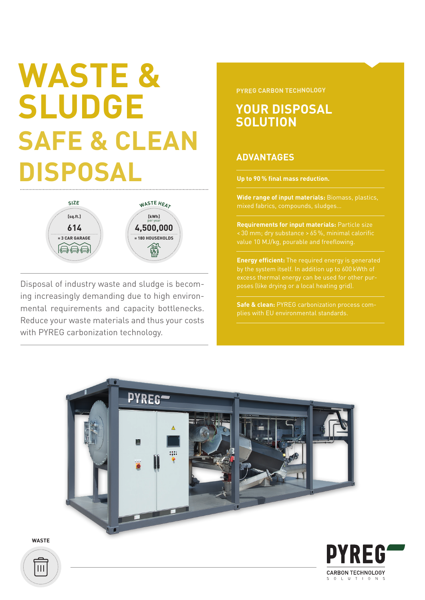# **WASTE & SLUDGE SAFE & CLEAN DISPOSAL Up to 90 % final mass reduction.**



Disposal of industry waste and sludge is becoming increasingly demanding due to high environmental requirements and capacity bottlenecks. Reduce your waste materials and thus your costs with PYREG carbonization technology.

**PYREG CARBON TECHNOLOGY**

### **YOUR DISPOSAL SOLUTION**

#### **ADVANTAGES**

**Wide range of input materials:** Biomass, plastics, mixed fabrics, compounds, sludges…

**Requirements for input materials:** Particle size value 10 MJ/kg, pourable and freeflowing.

**Energy efficient:** The required energy is generated excess thermal energy can be used for other pur-

**Safe & clean:** PYREG carbonization process com-



**WASTE**